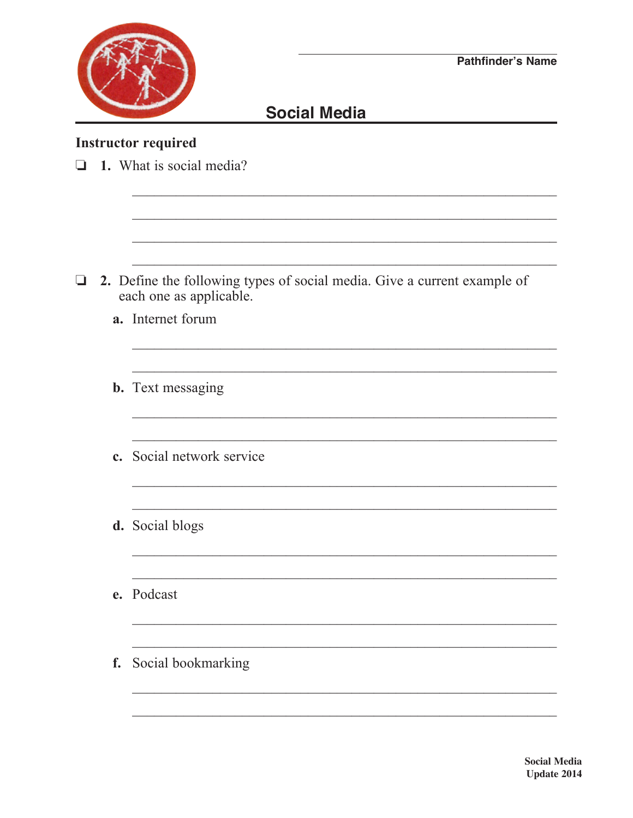

<u> 1980 - Jan Barbara Barbara, maso a</u>

## **Social Media**

## **Instructor required**

| $\Box$ |    | 1. What is social media?                                                                            |  |  |
|--------|----|-----------------------------------------------------------------------------------------------------|--|--|
|        |    |                                                                                                     |  |  |
|        |    |                                                                                                     |  |  |
|        |    |                                                                                                     |  |  |
| $\Box$ |    | 2. Define the following types of social media. Give a current example of<br>each one as applicable. |  |  |
|        |    | a. Internet forum                                                                                   |  |  |
|        |    |                                                                                                     |  |  |
|        |    | <b>b.</b> Text messaging                                                                            |  |  |
|        |    |                                                                                                     |  |  |
|        |    | c. Social network service                                                                           |  |  |
|        |    |                                                                                                     |  |  |
|        |    | d. Social blogs                                                                                     |  |  |
|        |    |                                                                                                     |  |  |
|        |    | e. Podcast                                                                                          |  |  |
|        |    |                                                                                                     |  |  |
|        | f. | Social bookmarking                                                                                  |  |  |
|        |    |                                                                                                     |  |  |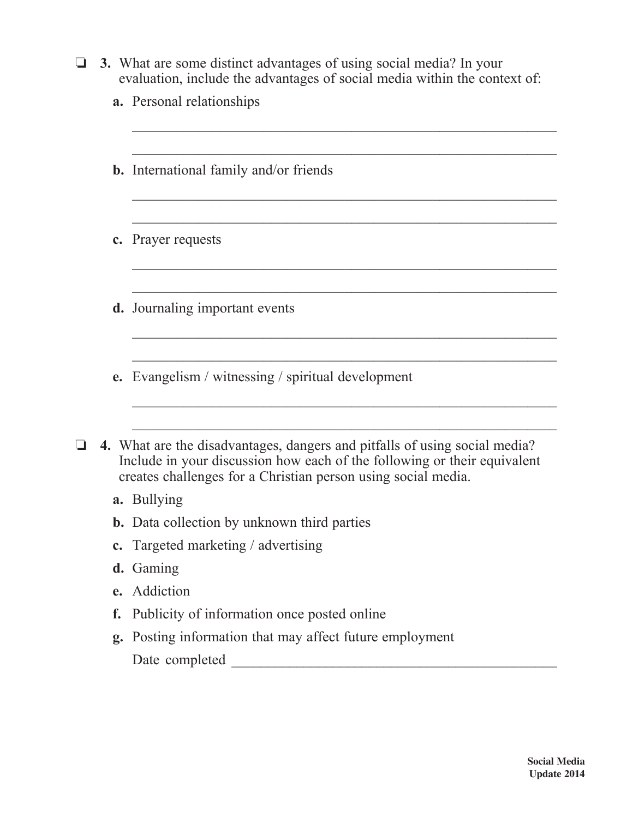|  | $\Box$ 3. What are some distinct advantages of using social media? In your |
|--|----------------------------------------------------------------------------|
|  | evaluation, include the advantages of social media within the context of:  |

 $\frac{1}{2}$  ,  $\frac{1}{2}$  ,  $\frac{1}{2}$  ,  $\frac{1}{2}$  ,  $\frac{1}{2}$  ,  $\frac{1}{2}$  ,  $\frac{1}{2}$  ,  $\frac{1}{2}$  ,  $\frac{1}{2}$  ,  $\frac{1}{2}$  ,  $\frac{1}{2}$  ,  $\frac{1}{2}$  ,  $\frac{1}{2}$  ,  $\frac{1}{2}$  ,  $\frac{1}{2}$  ,  $\frac{1}{2}$  ,  $\frac{1}{2}$  ,  $\frac{1}{2}$  ,  $\frac{1$ 

|  |  | a. Personal relationships |
|--|--|---------------------------|
|--|--|---------------------------|

|                                                                                                                                                                                                                         |                | <b>b.</b> International family and/or friends         |
|-------------------------------------------------------------------------------------------------------------------------------------------------------------------------------------------------------------------------|----------------|-------------------------------------------------------|
|                                                                                                                                                                                                                         |                |                                                       |
|                                                                                                                                                                                                                         | $\mathbf{c}$ . | Prayer requests                                       |
|                                                                                                                                                                                                                         |                |                                                       |
|                                                                                                                                                                                                                         |                | <b>d.</b> Journaling important events                 |
|                                                                                                                                                                                                                         |                |                                                       |
|                                                                                                                                                                                                                         | e.             | Evangelism / witnessing / spiritual development       |
|                                                                                                                                                                                                                         |                |                                                       |
| 4. What are the disadvantages, dangers and pitfalls of using social media?<br>Include in your discussion how each of the following or their equivalent<br>creates challenges for a Christian person using social media. |                |                                                       |
|                                                                                                                                                                                                                         |                | a. Bullying                                           |
|                                                                                                                                                                                                                         |                | <b>b.</b> Data collection by unknown third parties    |
|                                                                                                                                                                                                                         | $\mathbf{c}$ . | Targeted marketing / advertising                      |
|                                                                                                                                                                                                                         |                | d. Gaming                                             |
|                                                                                                                                                                                                                         | $\mathbf{e}$ . | Addiction                                             |
|                                                                                                                                                                                                                         | f.             | Publicity of information once posted online           |
|                                                                                                                                                                                                                         | g.             | Posting information that may affect future employment |
|                                                                                                                                                                                                                         |                | Date completed                                        |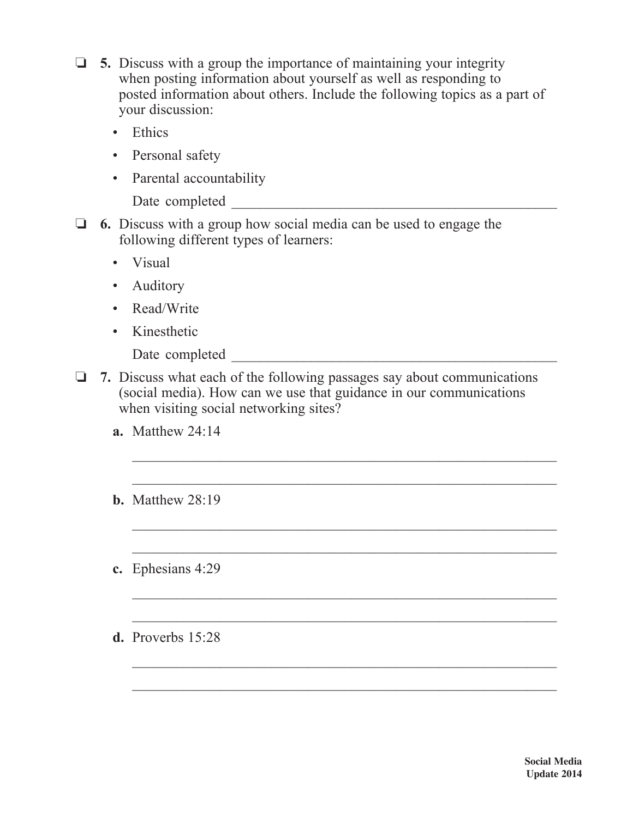- $\Box$  5. Discuss with a group the importance of maintaining your integrity when posting information about yourself as well as responding to posted information about others. Include the following topics as a part of your discussion:
	- Ethics
	- Personal safety
	- Parental accountability

Date completed  $\Box$ 

- o **6.** Discuss with a group how social media can be used to engage the following different types of learners:
	- Visual
	- Auditory
	- Read/Write
	- Kinesthetic

Date completed \_\_\_\_\_\_\_\_\_\_\_\_\_\_\_\_\_\_\_\_\_\_\_\_\_\_\_\_\_\_\_\_\_\_\_\_\_\_\_\_\_\_\_\_\_

o **7.** Discuss what each of the following passages say about communications (social media). How can we use that guidance in our communications when visiting social networking sites?

 $\mathcal{L}_\text{max} = \frac{1}{2} \sum_{i=1}^{n} \frac{1}{2} \sum_{i=1}^{n} \frac{1}{2} \sum_{i=1}^{n} \frac{1}{2} \sum_{i=1}^{n} \frac{1}{2} \sum_{i=1}^{n} \frac{1}{2} \sum_{i=1}^{n} \frac{1}{2} \sum_{i=1}^{n} \frac{1}{2} \sum_{i=1}^{n} \frac{1}{2} \sum_{i=1}^{n} \frac{1}{2} \sum_{i=1}^{n} \frac{1}{2} \sum_{i=1}^{n} \frac{1}{2} \sum_{i=1}^{n} \frac{1$ 

 $\mathcal{L}_\text{max} = \frac{1}{2} \sum_{i=1}^{n} \frac{1}{2} \sum_{i=1}^{n} \frac{1}{2} \sum_{i=1}^{n} \frac{1}{2} \sum_{i=1}^{n} \frac{1}{2} \sum_{i=1}^{n} \frac{1}{2} \sum_{i=1}^{n} \frac{1}{2} \sum_{i=1}^{n} \frac{1}{2} \sum_{i=1}^{n} \frac{1}{2} \sum_{i=1}^{n} \frac{1}{2} \sum_{i=1}^{n} \frac{1}{2} \sum_{i=1}^{n} \frac{1}{2} \sum_{i=1}^{n} \frac{1$ 

 $\mathcal{L}_\text{max} = \frac{1}{2} \sum_{i=1}^{n} \frac{1}{2} \sum_{i=1}^{n} \frac{1}{2} \sum_{i=1}^{n} \frac{1}{2} \sum_{i=1}^{n} \frac{1}{2} \sum_{i=1}^{n} \frac{1}{2} \sum_{i=1}^{n} \frac{1}{2} \sum_{i=1}^{n} \frac{1}{2} \sum_{i=1}^{n} \frac{1}{2} \sum_{i=1}^{n} \frac{1}{2} \sum_{i=1}^{n} \frac{1}{2} \sum_{i=1}^{n} \frac{1}{2} \sum_{i=1}^{n} \frac{1$ 

 $\frac{1}{2}$  ,  $\frac{1}{2}$  ,  $\frac{1}{2}$  ,  $\frac{1}{2}$  ,  $\frac{1}{2}$  ,  $\frac{1}{2}$  ,  $\frac{1}{2}$  ,  $\frac{1}{2}$  ,  $\frac{1}{2}$  ,  $\frac{1}{2}$  ,  $\frac{1}{2}$  ,  $\frac{1}{2}$  ,  $\frac{1}{2}$  ,  $\frac{1}{2}$  ,  $\frac{1}{2}$  ,  $\frac{1}{2}$  ,  $\frac{1}{2}$  ,  $\frac{1}{2}$  ,  $\frac{1$ 

 $\mathcal{L}_\text{max} = \frac{1}{2} \sum_{i=1}^{n} \frac{1}{2} \sum_{i=1}^{n} \frac{1}{2} \sum_{i=1}^{n} \frac{1}{2} \sum_{i=1}^{n} \frac{1}{2} \sum_{i=1}^{n} \frac{1}{2} \sum_{i=1}^{n} \frac{1}{2} \sum_{i=1}^{n} \frac{1}{2} \sum_{i=1}^{n} \frac{1}{2} \sum_{i=1}^{n} \frac{1}{2} \sum_{i=1}^{n} \frac{1}{2} \sum_{i=1}^{n} \frac{1}{2} \sum_{i=1}^{n} \frac{1$ 

 $\mathcal{L}_\text{max} = \frac{1}{2} \sum_{i=1}^{n} \frac{1}{2} \sum_{i=1}^{n} \frac{1}{2} \sum_{i=1}^{n} \frac{1}{2} \sum_{i=1}^{n} \frac{1}{2} \sum_{i=1}^{n} \frac{1}{2} \sum_{i=1}^{n} \frac{1}{2} \sum_{i=1}^{n} \frac{1}{2} \sum_{i=1}^{n} \frac{1}{2} \sum_{i=1}^{n} \frac{1}{2} \sum_{i=1}^{n} \frac{1}{2} \sum_{i=1}^{n} \frac{1}{2} \sum_{i=1}^{n} \frac{1$ 

 $\frac{1}{2}$  ,  $\frac{1}{2}$  ,  $\frac{1}{2}$  ,  $\frac{1}{2}$  ,  $\frac{1}{2}$  ,  $\frac{1}{2}$  ,  $\frac{1}{2}$  ,  $\frac{1}{2}$  ,  $\frac{1}{2}$  ,  $\frac{1}{2}$  ,  $\frac{1}{2}$  ,  $\frac{1}{2}$  ,  $\frac{1}{2}$  ,  $\frac{1}{2}$  ,  $\frac{1}{2}$  ,  $\frac{1}{2}$  ,  $\frac{1}{2}$  ,  $\frac{1}{2}$  ,  $\frac{1$ 

 $\mathcal{L}_\text{max} = \frac{1}{2} \sum_{i=1}^{n} \frac{1}{2} \sum_{i=1}^{n} \frac{1}{2} \sum_{i=1}^{n} \frac{1}{2} \sum_{i=1}^{n} \frac{1}{2} \sum_{i=1}^{n} \frac{1}{2} \sum_{i=1}^{n} \frac{1}{2} \sum_{i=1}^{n} \frac{1}{2} \sum_{i=1}^{n} \frac{1}{2} \sum_{i=1}^{n} \frac{1}{2} \sum_{i=1}^{n} \frac{1}{2} \sum_{i=1}^{n} \frac{1}{2} \sum_{i=1}^{n} \frac{1$ 

- **a.** Matthew 24:14
- **b.** Matthew 28:19
- **c.** Ephesians 4:29
- **d.** Proverbs 15:28